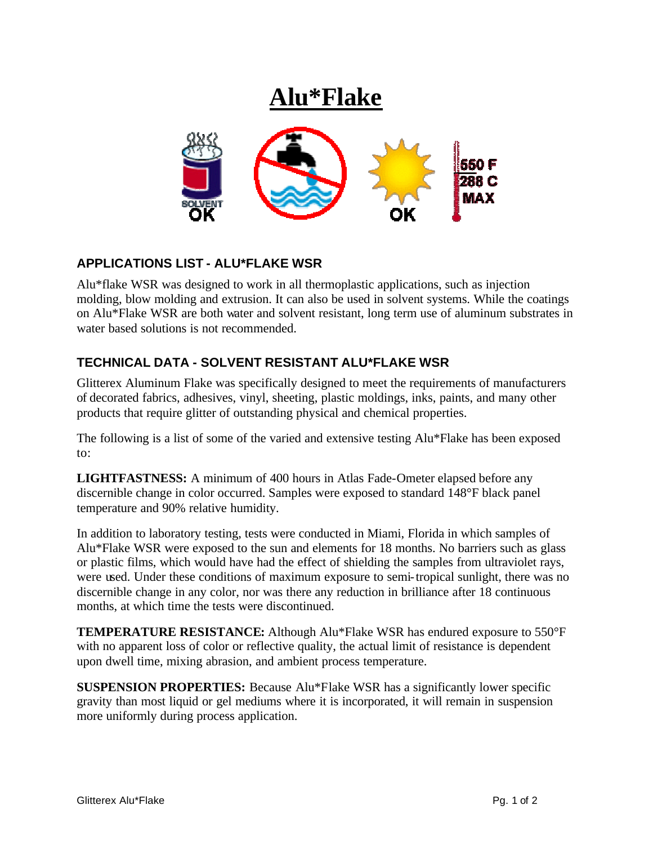

## **APPLICATIONS LIST - ALU\*FLAKE WSR**

Alu\*flake WSR was designed to work in all thermoplastic applications, such as injection molding, blow molding and extrusion. It can also be used in solvent systems. While the coatings on Alu\*Flake WSR are both water and solvent resistant, long term use of aluminum substrates in water based solutions is not recommended.

## **TECHNICAL DATA - SOLVENT RESISTANT ALU\*FLAKE WSR**

Glitterex Aluminum Flake was specifically designed to meet the requirements of manufacturers of decorated fabrics, adhesives, vinyl, sheeting, plastic moldings, inks, paints, and many other products that require glitter of outstanding physical and chemical properties.

The following is a list of some of the varied and extensive testing Alu\*Flake has been exposed to:

**LIGHTFASTNESS:** A minimum of 400 hours in Atlas Fade-Ometer elapsed before any discernible change in color occurred. Samples were exposed to standard 148°F black panel temperature and 90% relative humidity.

In addition to laboratory testing, tests were conducted in Miami, Florida in which samples of Alu\*Flake WSR were exposed to the sun and elements for 18 months. No barriers such as glass or plastic films, which would have had the effect of shielding the samples from ultraviolet rays, were used. Under these conditions of maximum exposure to semi-tropical sunlight, there was no discernible change in any color, nor was there any reduction in brilliance after 18 continuous months, at which time the tests were discontinued.

**TEMPERATURE RESISTANCE:** Although Alu\*Flake WSR has endured exposure to 550°F with no apparent loss of color or reflective quality, the actual limit of resistance is dependent upon dwell time, mixing abrasion, and ambient process temperature.

**SUSPENSION PROPERTIES:** Because Alu\*Flake WSR has a significantly lower specific gravity than most liquid or gel mediums where it is incorporated, it will remain in suspension more uniformly during process application.